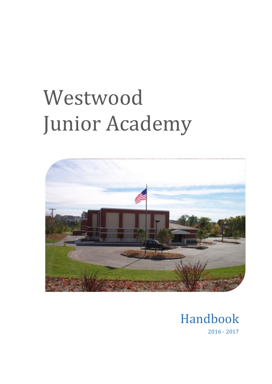# Westwood Junior Academy



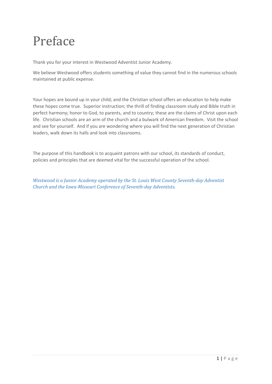# Preface

Thank you for your interest in Westwood Adventist Junior Academy.

We believe Westwood offers students something of value they cannot find in the numerous schools maintained at public expense.

Your hopes are bound up in your child; and the Christian school offers an education to help make these hopes come true. Superior instruction; the thrill of finding classroom study and Bible truth in perfect harmony; honor to God, to parents, and to country; these are the claims of Christ upon each life. Christian schools are an arm of the church and a bulwark of American freedom. Visit the school and see for yourself. And if you are wondering where you will find the next generation of Christian leaders, walk down its halls and look into classrooms.

The purpose of this handbook is to acquaint patrons with our school, its standards of conduct, policies and principles that are deemed vital for the successful operation of the school.

*Westwood is a Junior Academy operated by the St. Louis West County Seventh-day Adventist Church and the Iowa-Missouri Conference of Seventh-day Adventists.*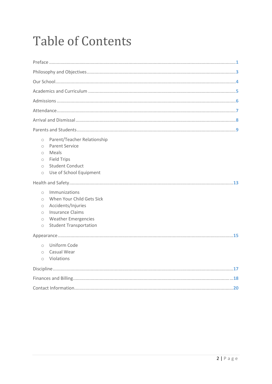# **Table of Contents**

| Parent/Teacher Relationship<br>$\bigcirc$<br><b>Parent Service</b><br>$\bigcirc$<br>Meals<br>$\bigcirc$<br><b>Field Trips</b><br>$\circ$<br><b>Student Conduct</b><br>$\bigcirc$<br>Use of School Equipment<br>$\circ$<br>Immunizations<br>$\bigcirc$<br>When Your Child Gets Sick<br>$\bigcirc$<br>Accidents/Injuries<br>$\bigcirc$<br><b>Insurance Claims</b><br>$\bigcirc$<br><b>Weather Emergencies</b><br>$\circ$<br><b>Student Transportation</b><br>$\circ$ |
|--------------------------------------------------------------------------------------------------------------------------------------------------------------------------------------------------------------------------------------------------------------------------------------------------------------------------------------------------------------------------------------------------------------------------------------------------------------------|
|                                                                                                                                                                                                                                                                                                                                                                                                                                                                    |
| Uniform Code<br>$\bigcirc$<br>Casual Wear<br>$\bigcirc$<br>Violations<br>$\circ$                                                                                                                                                                                                                                                                                                                                                                                   |
|                                                                                                                                                                                                                                                                                                                                                                                                                                                                    |
|                                                                                                                                                                                                                                                                                                                                                                                                                                                                    |
|                                                                                                                                                                                                                                                                                                                                                                                                                                                                    |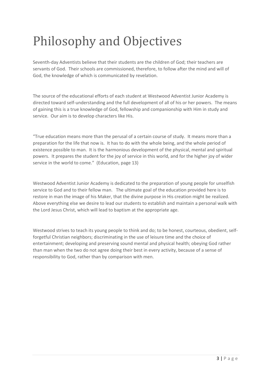# Philosophy and Objectives

Seventh-day Adventists believe that their students are the children of God; their teachers are servants of God. Their schools are commissioned, therefore, to follow after the mind and will of God, the knowledge of which is communicated by revelation.

The source of the educational efforts of each student at Westwood Adventist Junior Academy is directed toward self-understanding and the full development of all of his or her powers. The means of gaining this is a true knowledge of God, fellowship and companionship with Him in study and service. Our aim is to develop characters like His.

"True education means more than the perusal of a certain course of study. It means more than a preparation for the life that now is. It has to do with the whole being, and the whole period of existence possible to man. It is the harmonious development of the physical, mental and spiritual powers. It prepares the student for the joy of service in this world, and for the higher joy of wider service in the world to come." (Education, page 13)

Westwood Adventist Junior Academy is dedicated to the preparation of young people for unselfish service to God and to their fellow man. The ultimate goal of the education provided here is to restore in man the image of his Maker, that the divine purpose in His creation might be realized. Above everything else we desire to lead our students to establish and maintain a personal walk with the Lord Jesus Christ, which will lead to baptism at the appropriate age.

Westwood strives to teach its young people to think and do; to be honest, courteous, obedient, selfforgetful Christian neighbors; discriminating in the use of leisure time and the choice of entertainment; developing and preserving sound mental and physical health; obeying God rather than man when the two do not agree doing their best in every activity, because of a sense of responsibility to God, rather than by comparison with men.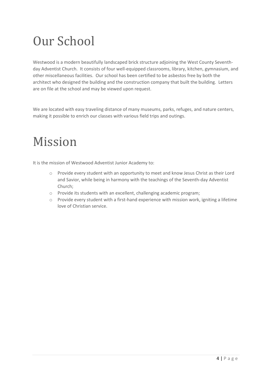# Our School

Westwood is a modern beautifully landscaped brick structure adjoining the West County Seventhday Adventist Church. It consists of four well-equipped classrooms, library, kitchen, gymnasium, and other miscellaneous facilities. Our school has been certified to be asbestos free by both the architect who designed the building and the construction company that built the building. Letters are on file at the school and may be viewed upon request.

We are located with easy traveling distance of many museums, parks, refuges, and nature centers, making it possible to enrich our classes with various field trips and outings.

# Mission

It is the mission of Westwood Adventist Junior Academy to:

- o Provide every student with an opportunity to meet and know Jesus Christ as their Lord and Savior, while being in harmony with the teachings of the Seventh-day Adventist Church;
- o Provide its students with an excellent, challenging academic program;
- o Provide every student with a first-hand experience with mission work, igniting a lifetime love of Christian service.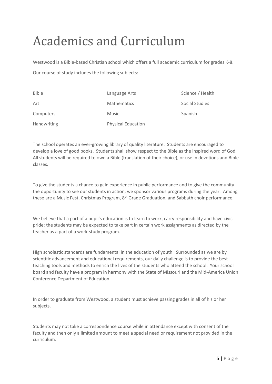# Academics and Curriculum

Westwood is a Bible-based Christian school which offers a full academic curriculum for grades K-8. Our course of study includes the following subjects:

| <b>Bible</b> | Language Arts             | Science / Health |
|--------------|---------------------------|------------------|
| Art          | <b>Mathematics</b>        | Social Studies   |
| Computers    | <b>Music</b>              | Spanish          |
| Handwriting  | <b>Physical Education</b> |                  |

The school operates an ever-growing library of quality literature. Students are encouraged to develop a love of good books. Students shall show respect to the Bible as the inspired word of God. All students will be required to own a Bible (translation of their choice), or use in devotions and Bible classes.

To give the students a chance to gain experience in public performance and to give the community the opportunity to see our students in action, we sponsor various programs during the year. Among these are a Music Fest, Christmas Program, 8<sup>th</sup> Grade Graduation, and Sabbath choir performance.

We believe that a part of a pupil's education is to learn to work, carry responsibility and have civic pride; the students may be expected to take part in certain work assignments as directed by the teacher as a part of a work-study program.

High scholastic standards are fundamental in the education of youth. Surrounded as we are by scientific advancement and educational requirements, our daily challenge is to provide the best teaching tools and methods to enrich the lives of the students who attend the school. Your school board and faculty have a program in harmony with the State of Missouri and the Mid-America Union Conference Department of Education.

In order to graduate from Westwood, a student must achieve passing grades in all of his or her subjects.

Students may not take a correspondence course while in attendance except with consent of the faculty and then only a limited amount to meet a special need or requirement not provided in the curriculum.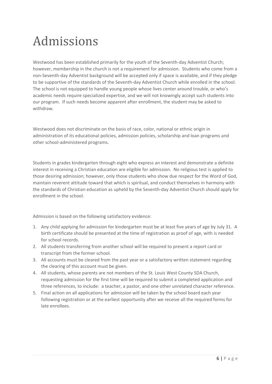# Admissions

Westwood has been established primarily for the youth of the Seventh-day Adventist Church; however, membership in the church is not a requirement for admission. Students who come from a non-Seventh-day Adventist background will be accepted only if space is available, and if they pledge to be supportive of the standards of the Seventh-day Adventist Church while enrolled in the school. The school is not equipped to handle young people whose lives center around trouble, or who's academic needs require specialized expertise, and we will not knowingly accept such students into our program. If such needs become apparent after enrollment, the student may be asked to withdraw.

Westwood does not discriminate on the basis of race, color, national or ethnic origin in administration of its educational policies, admission policies, scholarship and loan programs and other school-administered programs.

Students in grades kindergarten through eight who express an interest and demonstrate a definite interest in receiving a Christian education are eligible for admission. No religious test is applied to those desiring admission; however, only those students who show due respect for the Word of God, maintain reverent attitude toward that which is spiritual, and conduct themselves in harmony with the standards of Christian education as upheld by the Seventh-day Adventist Church should apply for enrollment in the school.

Admission is based on the following satisfactory evidence:

- 1. Any child applying for admission for kindergarten must be at least five years of age by July 31. A birth certificate should be presented at the time of registration as proof of age, with is needed for school records.
- 2. All students transferring from another school will be required to present a report card or transcript from the former school.
- 3. All accounts must be cleared from the past year or a satisfactory written statement regarding the clearing of this account must be given.
- 4. All students, whose parents are not members of the St. Louis West County SDA Church, requesting admission for the first time will be required to submit a completed application and three references, to include: a teacher, a pastor, and one other unrelated character reference.
- 5. Final action on all applications for admission will be taken by the school board each year following registration or at the earliest opportunity after we receive all the required forms for late enrollees.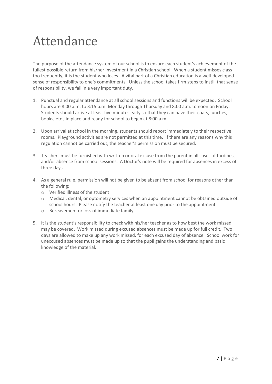# Attendance

The purpose of the attendance system of our school is to ensure each student's achievement of the fullest possible return from his/her investment in a Christian school. When a student misses class too frequently, it is the student who loses. A vital part of a Christian education is a well-developed sense of responsibility to one's commitments. Unless the school takes firm steps to instill that sense of responsibility, we fail in a very important duty.

- 1. Punctual and regular attendance at all school sessions and functions will be expected. School hours are 8:00 a.m. to 3:15 p.m. Monday through Thursday and 8:00 a.m. to noon on Friday. Students should arrive at least five minutes early so that they can have their coats, lunches, books, etc., in place and ready for school to begin at 8:00 a.m.
- 2. Upon arrival at school in the morning, students should report immediately to their respective rooms. Playground activities are not permitted at this time. If there are any reasons why this regulation cannot be carried out, the teacher's permission must be secured.
- 3. Teachers must be furnished with written or oral excuse from the parent in all cases of tardiness and/or absence from school sessions. A Doctor's note will be required for absences in excess of three days.
- 4. As a general rule, permission will not be given to be absent from school for reasons other than the following:
	- o Verified illness of the student
	- o Medical, dental, or optometry services when an appointment cannot be obtained outside of school hours. Please notify the teacher at least one day prior to the appointment.
	- o Bereavement or loss of immediate family.
- 5. It is the student's responsibility to check with his/her teacher as to how best the work missed may be covered. Work missed during excused absences must be made up for full credit. Two days are allowed to make up any work missed, for each excused day of absence. School work for unexcused absences must be made up so that the pupil gains the understanding and basic knowledge of the material.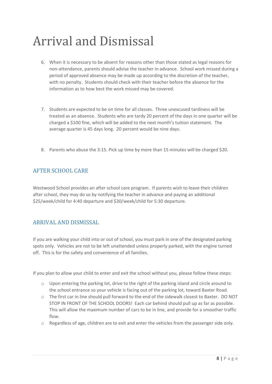# Arrival and Dismissal

- 6. When it is necessary to be absent for reasons other than those stated as legal reasons for non-attendance, parents should advise the teacher in advance. School work missed during a period of approved absence may be made up according to the discretion of the teacher, with no penalty. Students should check with their teacher before the absence for the information as to how best the work missed may be covered.
- 7. Students are expected to be on time for all classes. Three unexcused tardiness will be treated as an absence. Students who are tardy 20 percent of the days in one quarter will be charged a \$100 fine, which will be added to the next month's tuition statement. The average quarter is 45 days long. 20 percent would be nine days.
- 8. Parents who abuse the 3:15. Pick up time by more than 15 minutes will be charged \$20.

### AFTER SCHOOL CARE

Westwood School provides an after school care program. If parents wish to leave their children after school, they may do so by notifying the teacher in advance and paying an additional \$25/week/child for 4:40 departure and \$30/week/child for 5:30 departure.

### ARRIVAL AND DISMISSAL

If you are walking your child into or out of school, you must park in one of the designated parking spots only. Vehicles are not to be left unattended unless properly parked, with the engine turned off. This is for the safety and convenience of all families.

If you plan to allow your child to enter and exit the school without you, please follow these steps:

- $\circ$  Upon entering the parking lot, drive to the right of the parking island and circle around to the school entrance so your vehicle is facing out of the parking lot, toward Baxter Road.
- o The first car in line should pull forward to the end of the sidewalk closest to Baxter. DO NOT STOP IN FRONT OF THE SCHOOL DOORS! Each car behind should pull up as far as possible. This will allow the maximum number of cars to be in line, and provide for a smoother traffic flow.
- $\circ$  Regardless of age, children are to exit and enter the vehicles from the passenger side only.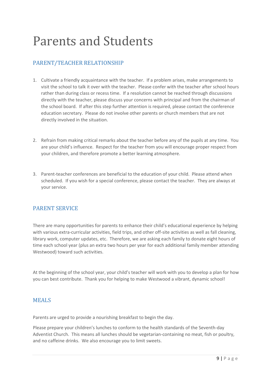# Parents and Students

### PARENT/TEACHER RELATIONSHIP

- 1. Cultivate a friendly acquaintance with the teacher. If a problem arises, make arrangements to visit the school to talk it over with the teacher. Please confer with the teacher after school hours rather than during class or recess time. If a resolution cannot be reached through discussions directly with the teacher, please discuss your concerns with principal and from the chairman of the school board. If after this step further attention is required, please contact the conference education secretary. Please do not involve other parents or church members that are not directly involved in the situation.
- 2. Refrain from making critical remarks about the teacher before any of the pupils at any time. You are your child's influence. Respect for the teacher from you will encourage proper respect from your children, and therefore promote a better learning atmosphere.
- 3. Parent-teacher conferences are beneficial to the education of your child. Please attend when scheduled. If you wish for a special conference, please contact the teacher. They are always at your service.

### PARENT SERVICE

There are many opportunities for parents to enhance their child's educational experience by helping with various extra-curricular activities, field trips, and other off-site activities as well as fall cleaning, library work, computer updates, etc. Therefore, we are asking each family to donate eight hours of time each school year (plus an extra two hours per year for each additional family member attending Westwood) toward such activities.

At the beginning of the school year, your child's teacher will work with you to develop a plan for how you can best contribute. Thank you for helping to make Westwood a vibrant, dynamic school!

### MEALS

Parents are urged to provide a nourishing breakfast to begin the day.

Please prepare your children's lunches to conform to the health standards of the Seventh-day Adventist Church. This means all lunches should be vegetarian-containing no meat, fish or poultry, and no caffeine drinks. We also encourage you to limit sweets.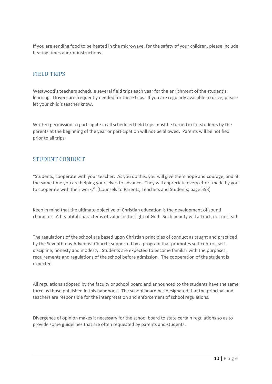If you are sending food to be heated in the microwave, for the safety of your children, please include heating times and/or instructions.

#### FIELD TRIPS

Westwood's teachers schedule several field trips each year for the enrichment of the student's learning. Drivers are frequently needed for these trips. If you are regularly available to drive, please let your child's teacher know.

Written permission to participate in all scheduled field trips must be turned in for students by the parents at the beginning of the year or participation will not be allowed. Parents will be notified prior to all trips.

### STUDENT CONDUCT

"Students, cooperate with your teacher. As you do this, you will give them hope and courage, and at the same time you are helping yourselves to advance…They will appreciate every effort made by you to cooperate with their work." (Counsels to Parents, Teachers and Students, page 553)

Keep in mind that the ultimate objective of Christian education is the development of sound character. A beautiful character is of value in the sight of God. Such beauty will attract, not mislead.

The regulations of the school are based upon Christian principles of conduct as taught and practiced by the Seventh-day Adventist Church; supported by a program that promotes self-control, selfdiscipline, honesty and modesty. Students are expected to become familiar with the purposes, requirements and regulations of the school before admission. The cooperation of the student is expected.

All regulations adopted by the faculty or school board and announced to the students have the same force as those published in this handbook. The school board has designated that the principal and teachers are responsible for the interpretation and enforcement of school regulations.

Divergence of opinion makes it necessary for the school board to state certain regulations so as to provide some guidelines that are often requested by parents and students.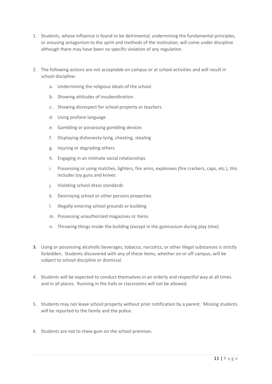- 1. Students, whose influence is found to be detrimental, undermining the fundamental principles, or arousing antagonism to the spirit and methods of the institution, will come under discipline although there may have been no specific violation of any regulation.
- 2. The following actions are not acceptable on campus or at school activities and will result in school discipline:
	- a. Undermining the religious ideals of the school
	- b. Showing attitudes of insubordination
	- c. Showing disrespect for school property or teachers
	- d. Using profane language
	- e. Gambling or possessing gambling devices
	- f. Displaying dishonesty-lying, cheating, stealing
	- g. Injuring or degrading others
	- h. Engaging in an intimate social relationships
	- i. Possessing or using matches, lighters, fire arms, explosives (fire crackers, caps, etc.), this includes toy guns and knives
	- j. Violating school dress standards
	- k. Destroying school or other persons properties
	- l. Illegally entering school grounds or building
	- m. Possessing unauthorized magazines or items
	- n. Throwing things inside the building (except in the gymnasium during play time)
- **3.** Using or possessing alcoholic beverages, tobacco, narcotics, or other illegal substances is strictly forbidden. Students discovered with any of these items, whether on or off campus, will be subject to school discipline or dismissal.
- 4. Students will be expected to conduct themselves in an orderly and respectful way at all times and in all places. Running in the halls or classrooms will not be allowed.
- 5. Students may not leave school property without prior notification by a parent. Missing students will be reported to the family and the police.
- 6. Students are not to chew gum on the school premises.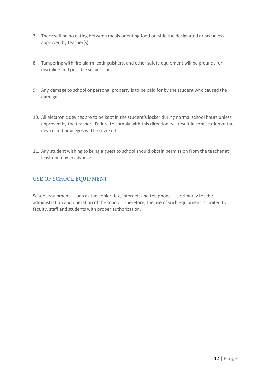- 7. There will be no eating between meals or eating food outside the designated areas unless approved by teacher(s).
- 8. Tampering with fire alarm, extinguishers, and other safety equipment will be grounds for discipline and possible suspension.
- 9. Any damage to school or personal property is to be paid for by the student who caused the damage.
- 10. All electronic devices are to be kept in the student's locker during normal school hours unless approved by the teacher. Failure to comply with this direction will result in confiscation of the device and privileges will be revoked.
- 11. Any student wishing to bring a guest to school should obtain permission from the teacher at least one day in advance.

### USE OF SCHOOL EQUIPMENT

School equipment—such as the copier, fax, internet, and telephone—is primarily for the administration and operation of the school. Therefore, the use of such equipment is limited to faculty, staff and students with proper authorization.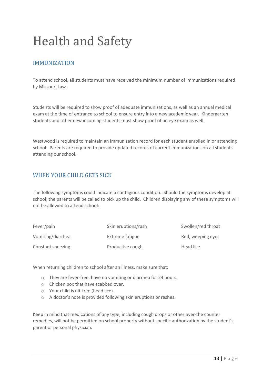# Health and Safety

### **IMMUNIZATION**

To attend school, all students must have received the minimum number of immunizations required by Missouri Law.

Students will be required to show proof of adequate immunizations, as well as an annual medical exam at the time of entrance to school to ensure entry into a new academic year. Kindergarten students and other new incoming students must show proof of an eye exam as well.

Westwood is required to maintain an immunization record for each student enrolled in or attending school. Parents are required to provide updated records of current immunizations on all students attending our school.

### WHEN YOUR CHILD GETS SICK

The following symptoms could indicate a contagious condition. Should the symptoms develop at school; the parents will be called to pick up the child. Children displaying any of these symptoms will not be allowed to attend school:

| Fever/pain        | Skin eruptions/rash | Swollen/red throat |
|-------------------|---------------------|--------------------|
| Vomiting/diarrhea | Extreme fatigue     | Red, weeping eyes  |
| Constant sneezing | Productive cough    | Head lice          |

When returning children to school after an illness, make sure that:

- o They are fever-free, have no vomiting or diarrhea for 24 hours.
- o Chicken pox that have scabbed over.
- o Your child is nit-free (head lice).
- o A doctor's note is provided following skin eruptions or rashes.

Keep in mind that medications of any type, including cough drops or other over-the counter remedies, will not be permitted on school property without specific authorization by the student's parent or personal physician.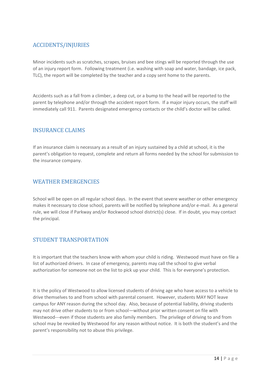### ACCIDENTS/INJURIES

Minor incidents such as scratches, scrapes, bruises and bee stings will be reported through the use of an injury report form. Following treatment (i.e. washing with soap and water, bandage, ice pack, TLC), the report will be completed by the teacher and a copy sent home to the parents.

Accidents such as a fall from a climber, a deep cut, or a bump to the head will be reported to the parent by telephone and/or through the accident report form. If a major injury occurs, the staff will immediately call 911. Parents designated emergency contacts or the child's doctor will be called.

#### INSURANCE CLAIMS

If an insurance claim is necessary as a result of an injury sustained by a child at school, it is the parent's obligation to request, complete and return all forms needed by the school for submission to the insurance company.

### WEATHER EMERGENCIES

School will be open on all regular school days. In the event that severe weather or other emergency makes it necessary to close school, parents will be notified by telephone and/or e-mail. As a general rule, we will close if Parkway and/or Rockwood school district(s) close. If in doubt, you may contact the principal.

### STUDENT TRANSPORTATION

It is important that the teachers know with whom your child is riding. Westwood must have on file a list of authorized drivers. In case of emergency, parents may call the school to give verbal authorization for someone not on the list to pick up your child. This is for everyone's protection.

It is the policy of Westwood to allow licensed students of driving age who have access to a vehicle to drive themselves to and from school with parental consent. However, students MAY NOT leave campus for ANY reason during the school day. Also, because of potential liability, driving students may not drive other students to or from school—without prior written consent on file with Westwood---even if those students are also family members. The privilege of driving to and from school may be revoked by Westwood for any reason without notice. It is both the student's and the parent's responsibility not to abuse this privilege.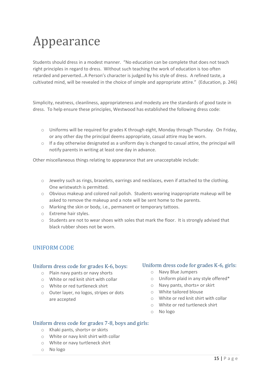# Appearance

Students should dress in a modest manner. "No education can be complete that does not teach right principles in regard to dress. Without such teaching the work of education is too often retarded and perverted…A Person's character is judged by his style of dress. A refined taste, a cultivated mind, will be revealed in the choice of simple and appropriate attire." (Education, p. 246)

Simplicity, neatness, cleanliness, appropriateness and modesty are the standards of good taste in dress. To help ensure these principles, Westwood has established the following dress code:

- o Uniforms will be required for grades K through eight, Monday through Thursday. On Friday, or any other day the principal deems appropriate, casual attire may be worn.
- $\circ$  If a day otherwise designated as a uniform day is changed to casual attire, the principal will notify parents in writing at least one day in advance.

Other miscellaneous things relating to appearance that are unacceptable include:

- o Jewelry such as rings, bracelets, earrings and necklaces, even if attached to the clothing. One wristwatch is permitted.
- o Obvious makeup and colored nail polish. Students wearing inappropriate makeup will be asked to remove the makeup and a note will be sent home to the parents.
- o Marking the skin or body, i.e., permanent or temporary tattoos.
- o Extreme hair styles.
- $\circ$  Students are not to wear shoes with soles that mark the floor. It is strongly advised that black rubber shoes not be worn.

#### UNIFORM CODE

#### Uniform dress code for grades K-6, boys:

- o Plain navy pants or navy shorts
- o White or red knit shirt with collar
- o White or red turtleneck shirt
- o Outer layer, no logos, stripes or dots are accepted

#### Uniform dress code for grades K-6, girls:

- o Navy Blue Jumpers
- o Uniform plaid in any style offered\*
- o Navy pants, shorts+ or skirt
- o White tailored blouse
- o White or red knit shirt with collar
- o White or red turtleneck shirt
- o No logo

#### Uniform dress code for grades 7-8, boys and girls:

- o Khaki pants, shorts+ or skirts
- o White or navy knit shirt with collar
- o White or navy turtleneck shirt
- o No logo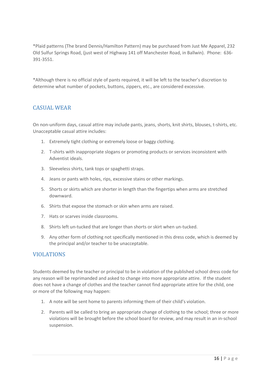\*Plaid patterns (The brand Dennis/Hamilton Pattern) may be purchased from Just Me Apparel, 232 Old Sulfur Springs Road, (just west of Highway 141 off Manchester Road, in Ballwin). Phone: 636- 391-3551.

\*Although there is no official style of pants required, it will be left to the teacher's discretion to determine what number of pockets, buttons, zippers, etc., are considered excessive.

### CASUAL WEAR

On non-uniform days, casual attire may include pants, jeans, shorts, knit shirts, blouses, t-shirts, etc. Unacceptable casual attire includes:

- 1. Extremely tight clothing or extremely loose or baggy clothing.
- 2. T-shirts with inappropriate slogans or promoting products or services inconsistent with Adventist ideals.
- 3. Sleeveless shirts, tank tops or spaghetti straps.
- 4. Jeans or pants with holes, rips, excessive stains or other markings.
- 5. Shorts or skirts which are shorter in length than the fingertips when arms are stretched downward.
- 6. Shirts that expose the stomach or skin when arms are raised.
- 7. Hats or scarves inside classrooms.
- 8. Shirts left un-tucked that are longer than shorts or skirt when un-tucked.
- 9. Any other form of clothing not specifically mentioned in this dress code, which is deemed by the principal and/or teacher to be unacceptable.

#### VIOLATIONS

Students deemed by the teacher or principal to be in violation of the published school dress code for any reason will be reprimanded and asked to change into more appropriate attire. If the student does not have a change of clothes and the teacher cannot find appropriate attire for the child, one or more of the following may happen:

- 1. A note will be sent home to parents informing them of their child's violation.
- 2. Parents will be called to bring an appropriate change of clothing to the school; three or more violations will be brought before the school board for review, and may result in an in-school suspension.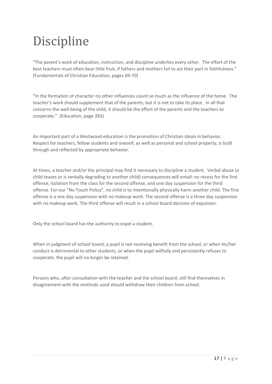# **Discipline**

"The parent's work of education, instruction, and discipline underlies every other. The effort of the best teachers must often bear little fruit, if fathers and mothers fail to act their part in faithfulness." (Fundamentals of Christian Education, pages 69-70)

"In the formation of character no other influences count so much as the influence of the home. The teacher's work should supplement that of the parents, but it is not to take its place. In all that concerns the well-being of the child, it should be the effort of the parents and the teachers to cooperate." (Education, page 283)

An important part of a Westwood education is the promotion of Christian ideals in behavior. Respect for teachers, fellow students and oneself, as well as personal and school property, is built through and reflected by appropriate behavior.

At times, a teacher and/or the principal may find it necessary to discipline a student. Verbal abuse (a child teases or is verbally degrading to another child) consequences will entail: no recess for the first offense, isolation from the class for the second offense, and one day suspension for the third offense. For our "No Touch Policy", no child is to intentionally physically harm another child. The first offense is a one day suspension with no makeup work. The second offense is a three day suspension with no makeup work. The third offense will result in a school board decision of expulsion.

Only the school board has the authority to expel a student.

When in judgment of school board, a pupil is not receiving benefit from the school, or when his/her conduct is detrimental to other students, or when the pupil willfully and persistently refuses to cooperate, the pupil will no longer be retained.

Persons who, after consultation with the teacher and the school board, still find themselves in disagreement with the methods used should withdraw their children from school.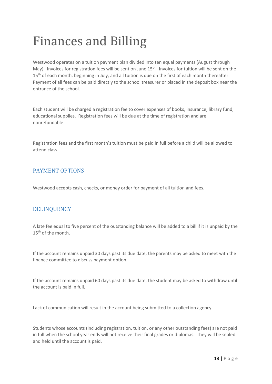# Finances and Billing

Westwood operates on a tuition payment plan divided into ten equal payments (August through May). Invoices for registration fees will be sent on June 15<sup>th</sup>. Invoices for tuition will be sent on the 15<sup>th</sup> of each month, beginning in July, and all tuition is due on the first of each month thereafter. Payment of all fees can be paid directly to the school treasurer or placed in the deposit box near the entrance of the school.

Each student will be charged a registration fee to cover expenses of books, insurance, library fund, educational supplies. Registration fees will be due at the time of registration and are nonrefundable.

Registration fees and the first month's tuition must be paid in full before a child will be allowed to attend class.

### PAYMENT OPTIONS

Westwood accepts cash, checks, or money order for payment of all tuition and fees.

### DELINQUENCY

A late fee equal to five percent of the outstanding balance will be added to a bill if it is unpaid by the 15th of the month.

If the account remains unpaid 30 days past its due date, the parents may be asked to meet with the finance committee to discuss payment option.

If the account remains unpaid 60 days past its due date, the student may be asked to withdraw until the account is paid in full.

Lack of communication will result in the account being submitted to a collection agency.

Students whose accounts (including registration, tuition, or any other outstanding fees) are not paid in full when the school year ends will not receive their final grades or diplomas. They will be sealed and held until the account is paid.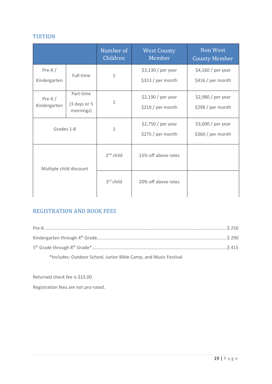### TUITION

|                          |                                        | Number of<br>Children | <b>West County</b><br>Member             | Non West<br><b>County Member</b>        |
|--------------------------|----------------------------------------|-----------------------|------------------------------------------|-----------------------------------------|
| $Pre-K/$<br>Kindergarten | Full-time                              | $\mathbf{1}$          | \$3,130 / per year<br>\$313 / per month  | \$4,160 / per year<br>\$416 / per month |
| $Pre-K/$<br>Kindergarten | Part-time<br>(3 days or 5<br>mornings) | $1\,$                 | $$2,190$ / per year<br>\$219 / per month | $$2,980/per$ year<br>\$298 / per month  |
| Grades 1-8               |                                        | $\mathbf{1}$          | $$2,750/per$ year<br>\$275 / per month   | $$3,600/per$ year<br>\$360 / per month  |
| Multiple child discount  |                                        | $2nd$ child           | 15% off above rates                      |                                         |
|                          |                                        | 3rd child             | 20% off above rates                      |                                         |

## REGISTRATION AND BOOK FEES

| *Includes: Outdoor School, Junior Bible Camp, and Music Festival |  |
|------------------------------------------------------------------|--|

Returned check fee is \$15.00

Registration fees are not pro-rated.